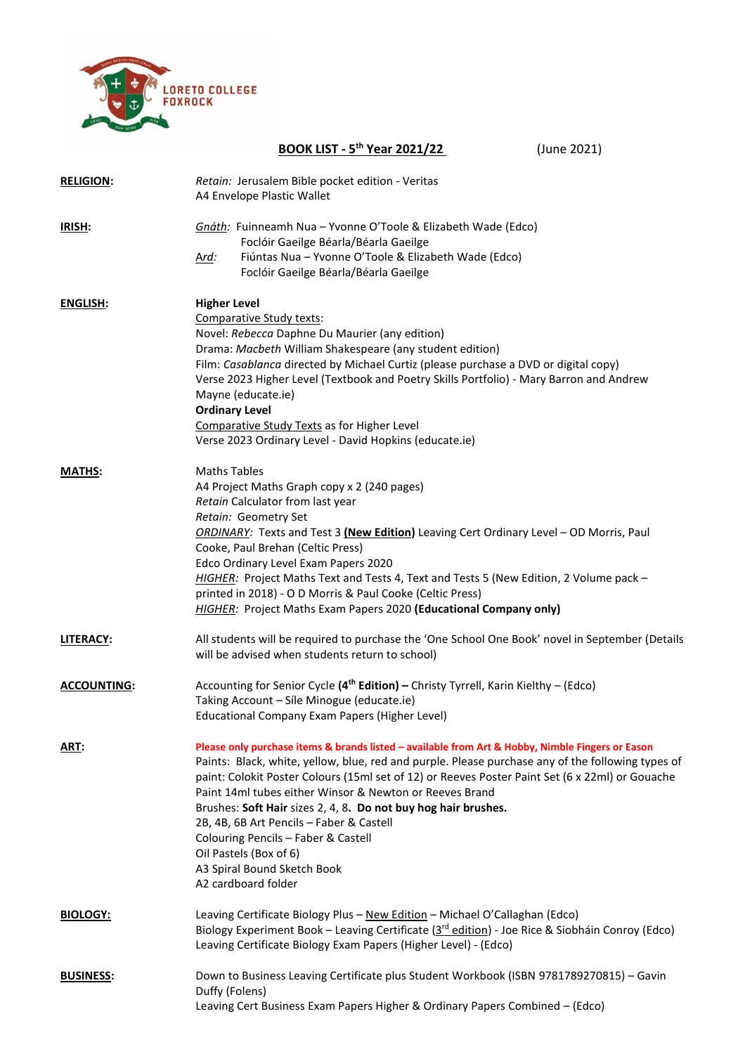

|                    | <b>BOOK LIST - 5th Year 2021/22</b><br>(June 2021)                                                                                                                                                                                                                                                                                                                                                                                                                                                                                                                                                       |  |  |  |
|--------------------|----------------------------------------------------------------------------------------------------------------------------------------------------------------------------------------------------------------------------------------------------------------------------------------------------------------------------------------------------------------------------------------------------------------------------------------------------------------------------------------------------------------------------------------------------------------------------------------------------------|--|--|--|
| <b>RELIGION:</b>   | Retain: Jerusalem Bible pocket edition - Veritas<br>A4 Envelope Plastic Wallet                                                                                                                                                                                                                                                                                                                                                                                                                                                                                                                           |  |  |  |
| <b>IRISH:</b>      | Gnáth: Fuinneamh Nua - Yvonne O'Toole & Elizabeth Wade (Edco)<br>Foclóir Gaeilge Béarla/Béarla Gaeilge<br>Fiúntas Nua - Yvonne O'Toole & Elizabeth Wade (Edco)<br><u>Ard:</u><br>Foclóir Gaeilge Béarla/Béarla Gaeilge                                                                                                                                                                                                                                                                                                                                                                                   |  |  |  |
| <b>ENGLISH:</b>    | <b>Higher Level</b><br>Comparative Study texts:<br>Novel: Rebecca Daphne Du Maurier (any edition)<br>Drama: Macbeth William Shakespeare (any student edition)<br>Film: Casablanca directed by Michael Curtiz (please purchase a DVD or digital copy)<br>Verse 2023 Higher Level (Textbook and Poetry Skills Portfolio) - Mary Barron and Andrew<br>Mayne (educate.ie)<br><b>Ordinary Level</b><br>Comparative Study Texts as for Higher Level<br>Verse 2023 Ordinary Level - David Hopkins (educate.ie)                                                                                                  |  |  |  |
| <b>MATHS:</b>      | <b>Maths Tables</b><br>A4 Project Maths Graph copy x 2 (240 pages)<br>Retain Calculator from last year<br>Retain: Geometry Set<br>ORDINARY: Texts and Test 3 (New Edition) Leaving Cert Ordinary Level - OD Morris, Paul<br>Cooke, Paul Brehan (Celtic Press)<br>Edco Ordinary Level Exam Papers 2020<br>HIGHER: Project Maths Text and Tests 4, Text and Tests 5 (New Edition, 2 Volume pack -<br>printed in 2018) - O D Morris & Paul Cooke (Celtic Press)<br>HIGHER: Project Maths Exam Papers 2020 (Educational Company only)                                                                        |  |  |  |
| <b>LITERACY:</b>   | All students will be required to purchase the 'One School One Book' novel in September (Details<br>will be advised when students return to school)                                                                                                                                                                                                                                                                                                                                                                                                                                                       |  |  |  |
| <b>ACCOUNTING:</b> | Accounting for Senior Cycle (4 <sup>th</sup> Edition) - Christy Tyrrell, Karin Kielthy - (Edco)<br>Taking Account - Síle Minogue (educate.ie)<br>Educational Company Exam Papers (Higher Level)                                                                                                                                                                                                                                                                                                                                                                                                          |  |  |  |
| ART:               | Please only purchase items & brands listed - available from Art & Hobby, Nimble Fingers or Eason<br>Paints: Black, white, yellow, blue, red and purple. Please purchase any of the following types of<br>paint: Colokit Poster Colours (15ml set of 12) or Reeves Poster Paint Set (6 x 22ml) or Gouache<br>Paint 14ml tubes either Winsor & Newton or Reeves Brand<br>Brushes: Soft Hair sizes 2, 4, 8. Do not buy hog hair brushes.<br>2B, 4B, 6B Art Pencils - Faber & Castell<br>Colouring Pencils - Faber & Castell<br>Oil Pastels (Box of 6)<br>A3 Spiral Bound Sketch Book<br>A2 cardboard folder |  |  |  |
| <b>BIOLOGY:</b>    | Leaving Certificate Biology Plus - New Edition - Michael O'Callaghan (Edco)<br>Biology Experiment Book - Leaving Certificate (3 <sup>rd</sup> edition) - Joe Rice & Siobháin Conroy (Edco)<br>Leaving Certificate Biology Exam Papers (Higher Level) - (Edco)                                                                                                                                                                                                                                                                                                                                            |  |  |  |
| <b>BUSINESS:</b>   | Down to Business Leaving Certificate plus Student Workbook (ISBN 9781789270815) - Gavin<br>Duffy (Folens)<br>Leaving Cert Business Exam Papers Higher & Ordinary Papers Combined - (Edco)                                                                                                                                                                                                                                                                                                                                                                                                                |  |  |  |